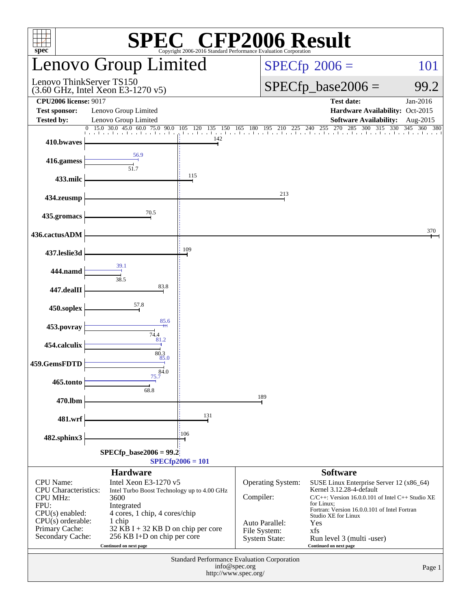| <b>SPEC<sup>®</sup></b> CFP2006 Result<br>spec<br>Copyright 2006-2016 Standard Performance Evaluation Corporatio                                           |                                                                                                                                                                                                                                        |                          |                                                                                                 |                                                                                                                                                                                                                                                                                       |                      |  |  |  |
|------------------------------------------------------------------------------------------------------------------------------------------------------------|----------------------------------------------------------------------------------------------------------------------------------------------------------------------------------------------------------------------------------------|--------------------------|-------------------------------------------------------------------------------------------------|---------------------------------------------------------------------------------------------------------------------------------------------------------------------------------------------------------------------------------------------------------------------------------------|----------------------|--|--|--|
|                                                                                                                                                            | Lenovo Group Limited                                                                                                                                                                                                                   |                          |                                                                                                 | $SPECfp^{\circ}2006 =$<br>101                                                                                                                                                                                                                                                         |                      |  |  |  |
| Lenovo ThinkServer TS150                                                                                                                                   | (3.60 GHz, Intel Xeon E3-1270 v5)                                                                                                                                                                                                      |                          |                                                                                                 | $SPECfp\_base2006 =$<br>99.2                                                                                                                                                                                                                                                          |                      |  |  |  |
| <b>CPU2006 license: 9017</b><br><b>Test sponsor:</b><br><b>Tested by:</b>                                                                                  | Lenovo Group Limited<br>Lenovo Group Limited                                                                                                                                                                                           |                          |                                                                                                 | <b>Test date:</b><br>Hardware Availability: Oct-2015<br><b>Software Availability:</b>                                                                                                                                                                                                 | Jan-2016<br>Aug-2015 |  |  |  |
| $\Omega$                                                                                                                                                   | 15.0 30.0 45.0 60.0<br>75.0 90.0                                                                                                                                                                                                       | 105<br>120<br>150<br>135 | 180<br>225<br>165<br>195<br>210                                                                 | 255<br>270<br>285<br>300 315<br>240<br>330                                                                                                                                                                                                                                            | 345<br>360<br>380    |  |  |  |
| 410.bwaves                                                                                                                                                 |                                                                                                                                                                                                                                        | 142                      |                                                                                                 |                                                                                                                                                                                                                                                                                       |                      |  |  |  |
| 416.gamess                                                                                                                                                 | 56.9<br>51.7                                                                                                                                                                                                                           |                          |                                                                                                 |                                                                                                                                                                                                                                                                                       |                      |  |  |  |
| 433.milc                                                                                                                                                   |                                                                                                                                                                                                                                        | 115                      |                                                                                                 |                                                                                                                                                                                                                                                                                       |                      |  |  |  |
| 434.zeusmp                                                                                                                                                 |                                                                                                                                                                                                                                        |                          | 213                                                                                             |                                                                                                                                                                                                                                                                                       |                      |  |  |  |
| 435.gromacs                                                                                                                                                | 70.5                                                                                                                                                                                                                                   |                          |                                                                                                 |                                                                                                                                                                                                                                                                                       |                      |  |  |  |
| 436.cactusADM                                                                                                                                              |                                                                                                                                                                                                                                        |                          |                                                                                                 |                                                                                                                                                                                                                                                                                       | 370                  |  |  |  |
| 437.leslie3d                                                                                                                                               |                                                                                                                                                                                                                                        | 109                      |                                                                                                 |                                                                                                                                                                                                                                                                                       |                      |  |  |  |
| 444.namd                                                                                                                                                   | 39.1<br>38.5                                                                                                                                                                                                                           |                          |                                                                                                 |                                                                                                                                                                                                                                                                                       |                      |  |  |  |
| 447.dealII                                                                                                                                                 | 83.8                                                                                                                                                                                                                                   |                          |                                                                                                 |                                                                                                                                                                                                                                                                                       |                      |  |  |  |
| 450.soplex                                                                                                                                                 | 57.8                                                                                                                                                                                                                                   |                          |                                                                                                 |                                                                                                                                                                                                                                                                                       |                      |  |  |  |
| 453.povray                                                                                                                                                 | 85.6<br>74.4                                                                                                                                                                                                                           |                          |                                                                                                 |                                                                                                                                                                                                                                                                                       |                      |  |  |  |
| 454.calculix                                                                                                                                               | 81.2<br>80.3                                                                                                                                                                                                                           |                          |                                                                                                 |                                                                                                                                                                                                                                                                                       |                      |  |  |  |
| 459.GemsFDTD                                                                                                                                               | 85.0<br>$\frac{8}{1}$<br>$\frac{8}{1}$                                                                                                                                                                                                 |                          |                                                                                                 |                                                                                                                                                                                                                                                                                       |                      |  |  |  |
| 465.tonto                                                                                                                                                  | 68.8                                                                                                                                                                                                                                   |                          |                                                                                                 |                                                                                                                                                                                                                                                                                       |                      |  |  |  |
| 470.lbm                                                                                                                                                    |                                                                                                                                                                                                                                        |                          | 189                                                                                             |                                                                                                                                                                                                                                                                                       |                      |  |  |  |
| 481.wrf                                                                                                                                                    |                                                                                                                                                                                                                                        | 131                      |                                                                                                 |                                                                                                                                                                                                                                                                                       |                      |  |  |  |
| 482.sphinx3                                                                                                                                                |                                                                                                                                                                                                                                        | 106                      |                                                                                                 |                                                                                                                                                                                                                                                                                       |                      |  |  |  |
| $SPECfp\_base2006 = 99.2$<br>$SPECfp2006 = 101$                                                                                                            |                                                                                                                                                                                                                                        |                          |                                                                                                 |                                                                                                                                                                                                                                                                                       |                      |  |  |  |
|                                                                                                                                                            | <b>Hardware</b>                                                                                                                                                                                                                        |                          |                                                                                                 | <b>Software</b>                                                                                                                                                                                                                                                                       |                      |  |  |  |
| <b>CPU</b> Name:<br><b>CPU</b> Characteristics:<br><b>CPU MHz:</b><br>FPU:<br>CPU(s) enabled:<br>$CPU(s)$ orderable:<br>Primary Cache:<br>Secondary Cache: | Intel Xeon E3-1270 v5<br>Intel Turbo Boost Technology up to 4.00 GHz<br>3600<br>Integrated<br>4 cores, 1 chip, 4 cores/chip<br>1 chip<br>$32$ KB I + 32 KB D on chip per core<br>256 KB I+D on chip per core<br>Continued on next page |                          | <b>Operating System:</b><br>Compiler:<br>Auto Parallel:<br>File System:<br><b>System State:</b> | SUSE Linux Enterprise Server 12 (x86_64)<br>Kernel 3.12.28-4-default<br>$C/C++$ : Version 16.0.0.101 of Intel C++ Studio XE<br>for Linux;<br>Fortran: Version 16.0.0.101 of Intel Fortran<br>Studio XE for Linux<br>Yes<br>xfs<br>Run level 3 (multi -user)<br>Continued on next page |                      |  |  |  |
| Standard Performance Evaluation Corporation<br>info@spec.org<br>Page 1<br>http://www.spec.org/                                                             |                                                                                                                                                                                                                                        |                          |                                                                                                 |                                                                                                                                                                                                                                                                                       |                      |  |  |  |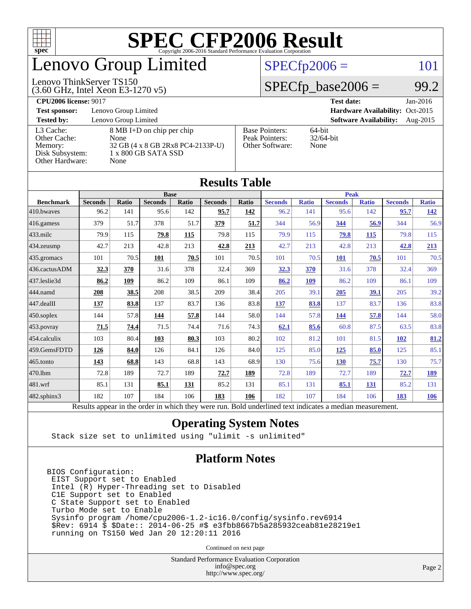

# enovo Group Limited

### $SPECfp2006 = 101$  $SPECfp2006 = 101$

#### Lenovo ThinkServer TS150

(3.60 GHz, Intel Xeon E3-1270 v5)

 $SPECTp\_base2006 = 99.2$ 

| <b>CPU2006 license: 9017</b> |                                   |                                 | <b>Test date:</b><br>$Jan-2016$              |  |  |
|------------------------------|-----------------------------------|---------------------------------|----------------------------------------------|--|--|
| <b>Test sponsor:</b>         | Lenovo Group Limited              | Hardware Availability: Oct-2015 |                                              |  |  |
| <b>Tested by:</b>            | Lenovo Group Limited              |                                 | <b>Software Availability:</b><br>Aug- $2015$ |  |  |
| L3 Cache:                    | 8 MB I+D on chip per chip         | <b>Base Pointers:</b>           | $64$ -bit                                    |  |  |
| Other Cache:                 | None                              | Peak Pointers:                  | $32/64$ -bit                                 |  |  |
| Memory:                      | 32 GB (4 x 8 GB 2Rx8 PC4-2133P-U) | Other Software:                 | None                                         |  |  |
| Disk Subsystem:              | 1 x 800 GB SATA SSD               |                                 |                                              |  |  |
| Other Hardware:              | None                              |                                 |                                              |  |  |

**[Results Table](http://www.spec.org/auto/cpu2006/Docs/result-fields.html#ResultsTable)**

| Results Table    |                                                                                                          |       |                |       |                |       |                |              |                |              |                |              |
|------------------|----------------------------------------------------------------------------------------------------------|-------|----------------|-------|----------------|-------|----------------|--------------|----------------|--------------|----------------|--------------|
|                  | <b>Base</b>                                                                                              |       |                |       |                |       | <b>Peak</b>    |              |                |              |                |              |
| <b>Benchmark</b> | <b>Seconds</b>                                                                                           | Ratio | <b>Seconds</b> | Ratio | <b>Seconds</b> | Ratio | <b>Seconds</b> | <b>Ratio</b> | <b>Seconds</b> | <b>Ratio</b> | <b>Seconds</b> | <b>Ratio</b> |
| 410.bwaves       | 96.2                                                                                                     | 141   | 95.6           | 142   | 95.7           | 142   | 96.2           | 141          | 95.6           | 142          | 95.7           | <u>142</u>   |
| 416.gamess       | 379                                                                                                      | 51.7  | 378            | 51.7  | 379            | 51.7  | 344            | 56.9         | <u>344</u>     | 56.9         | 344            | 56.9         |
| 433.milc         | 79.9                                                                                                     | 115   | 79.8           | 115   | 79.8           | 115   | 79.9           | 115          | 79.8           | 115          | 79.8           | 115          |
| 434.zeusmp       | 42.7                                                                                                     | 213   | 42.8           | 213   | 42.8           | 213   | 42.7           | 213          | 42.8           | 213          | 42.8           | 213          |
| 435.gromacs      | 101                                                                                                      | 70.5  | 101            | 70.5  | 101            | 70.5  | 101            | 70.5         | <b>101</b>     | 70.5         | 101            | 70.5         |
| 436.cactusADM    | 32.3                                                                                                     | 370   | 31.6           | 378   | 32.4           | 369   | 32.3           | 370          | 31.6           | 378          | 32.4           | 369          |
| 437.leslie3d     | 86.2                                                                                                     | 109   | 86.2           | 109   | 86.1           | 109   | 86.2           | 109          | 86.2           | 109          | 86.1           | 109          |
| 444.namd         | 208                                                                                                      | 38.5  | 208            | 38.5  | 209            | 38.4  | 205            | 39.1         | 205            | 39.1         | 205            | 39.2         |
| 447.dealII       | 137                                                                                                      | 83.8  | 137            | 83.7  | 136            | 83.8  | 137            | 83.8         | 137            | 83.7         | 136            | 83.8         |
| 450.soplex       | 144                                                                                                      | 57.8  | 144            | 57.8  | 144            | 58.0  | 144            | 57.8         | 144            | 57.8         | 144            | 58.0         |
| 453.povray       | 71.5                                                                                                     | 74.4  | 71.5           | 74.4  | 71.6           | 74.3  | 62.1           | 85.6         | 60.8           | 87.5         | 63.5           | 83.8         |
| 454.calculix     | 103                                                                                                      | 80.4  | 103            | 80.3  | 103            | 80.2  | 102            | 81.2         | 101            | 81.5         | <b>102</b>     | 81.2         |
| 459.GemsFDTD     | 126                                                                                                      | 84.0  | 126            | 84.1  | 126            | 84.0  | 125            | 85.0         | 125            | 85.0         | 125            | 85.1         |
| 465.tonto        | <u>143</u>                                                                                               | 68.8  | 143            | 68.8  | 143            | 68.9  | 130            | 75.6         | <b>130</b>     | 75.7         | 130            | 75.7         |
| 470.1bm          | 72.8                                                                                                     | 189   | 72.7           | 189   | 72.7           | 189   | 72.8           | 189          | 72.7           | 189          | 72.7           | 189          |
| 481.wrf          | 85.1                                                                                                     | 131   | 85.1           | 131   | 85.2           | 131   | 85.1           | 131          | 85.1           | 131          | 85.2           | 131          |
| 482.sphinx3      | 182                                                                                                      | 107   | 184            | 106   | 183            | 106   | 182            | 107          | 184            | 106          | 183            | 106          |
|                  | Results appear in the order in which they were run. Bold underlined text indicates a median measurement. |       |                |       |                |       |                |              |                |              |                |              |

### **[Operating System Notes](http://www.spec.org/auto/cpu2006/Docs/result-fields.html#OperatingSystemNotes)**

Stack size set to unlimited using "ulimit -s unlimited"

### **[Platform Notes](http://www.spec.org/auto/cpu2006/Docs/result-fields.html#PlatformNotes)**

BIOS Configuration: EIST Support set to Enabled Intel (R) Hyper-Threading set to Disabled C1E Support set to Enabled C State Support set to Enabled Turbo Mode set to Enable Sysinfo program /home/cpu2006-1.2-ic16.0/config/sysinfo.rev6914 \$Rev: 6914 \$ \$Date:: 2014-06-25 #\$ e3fbb8667b5a285932ceab81e28219e1 running on TS150 Wed Jan 20 12:20:11 2016

Continued on next page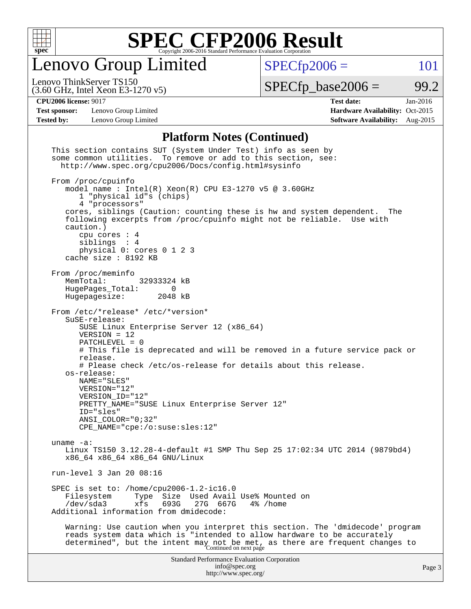

Lenovo Group Limited

 $SPECfp2006 = 101$  $SPECfp2006 = 101$ 

(3.60 GHz, Intel Xeon E3-1270 v5) Lenovo ThinkServer TS150

 $SPECTp\_base2006 = 99.2$ 

**[Test sponsor:](http://www.spec.org/auto/cpu2006/Docs/result-fields.html#Testsponsor)** Lenovo Group Limited **[Hardware Availability:](http://www.spec.org/auto/cpu2006/Docs/result-fields.html#HardwareAvailability)** Oct-2015

**[CPU2006 license:](http://www.spec.org/auto/cpu2006/Docs/result-fields.html#CPU2006license)** 9017 **[Test date:](http://www.spec.org/auto/cpu2006/Docs/result-fields.html#Testdate)** Jan-2016 **[Tested by:](http://www.spec.org/auto/cpu2006/Docs/result-fields.html#Testedby)** Lenovo Group Limited **[Software Availability:](http://www.spec.org/auto/cpu2006/Docs/result-fields.html#SoftwareAvailability)** Aug-2015

### **[Platform Notes \(Continued\)](http://www.spec.org/auto/cpu2006/Docs/result-fields.html#PlatformNotes)**

| This section contains SUT (System Under Test) info as seen by<br>some common utilities. To remove or add to this section, see:<br>http://www.spec.org/cpu2006/Docs/config.html#sysinfo                                                                                                                                                                                                                                                                                                          |        |
|-------------------------------------------------------------------------------------------------------------------------------------------------------------------------------------------------------------------------------------------------------------------------------------------------------------------------------------------------------------------------------------------------------------------------------------------------------------------------------------------------|--------|
| From /proc/cpuinfo<br>model name: $Intel(R)$ Xeon(R) CPU E3-1270 v5 @ 3.60GHz<br>1 "physical id"s (chips)<br>4 "processors"<br>cores, siblings (Caution: counting these is hw and system dependent.<br>The<br>following excerpts from /proc/cpuinfo might not be reliable. Use with<br>caution.)<br>cpu cores $: 4$<br>siblings : 4<br>physical 0: cores 0 1 2 3<br>cache size : 8192 KB                                                                                                        |        |
| From /proc/meminfo<br>MemTotal:<br>32933324 kB<br>HugePages_Total:<br>$\Omega$<br>Hugepagesize:<br>2048 kB                                                                                                                                                                                                                                                                                                                                                                                      |        |
| From /etc/*release* /etc/*version*<br>SuSE-release:<br>SUSE Linux Enterprise Server 12 (x86_64)<br>$VERSION = 12$<br>PATCHLEVEL = 0<br># This file is deprecated and will be removed in a future service pack or<br>release.<br># Please check /etc/os-release for details about this release.<br>os-release:<br>NAME="SLES"<br>VERSION="12"<br>VERSION ID="12"<br>PRETTY_NAME="SUSE Linux Enterprise Server 12"<br>ID="sles"<br>$ANSI\_COLOR = "0; 32"$<br>$CPE\_NAME='cpe://o:suse: sles:12"$ |        |
| uname $-a$ :<br>Linux TS150 3.12.28-4-default #1 SMP Thu Sep 25 17:02:34 UTC 2014 (9879bd4)<br>x86_64 x86_64 x86_64 GNU/Linux                                                                                                                                                                                                                                                                                                                                                                   |        |
| run-level 3 Jan 20 08:16                                                                                                                                                                                                                                                                                                                                                                                                                                                                        |        |
| SPEC is set to: /home/cpu2006-1.2-ic16.0<br>Size Used Avail Use% Mounted on<br>Filesystem<br>Type<br>693G<br>$/\text{dev/sda}$ 3<br>xfs<br>27G 667G<br>4% /home<br>Additional information from dmidecode:                                                                                                                                                                                                                                                                                       |        |
| Warning: Use caution when you interpret this section. The 'dmidecode' program<br>reads system data which is "intended to allow hardware to be accurately<br>determined", but the intent may not be met, as there are frequent changes to<br>Continued on next page                                                                                                                                                                                                                              |        |
| <b>Standard Performance Evaluation Corporation</b><br>info@spec.org<br>http://www.spec.org/                                                                                                                                                                                                                                                                                                                                                                                                     | Page 3 |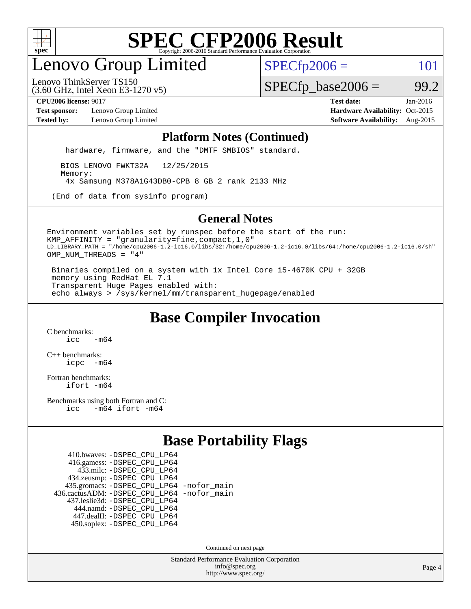

# enovo Group Limited

 $SPECfp2006 = 101$  $SPECfp2006 = 101$ 

(3.60 GHz, Intel Xeon E3-1270 v5) Lenovo ThinkServer TS150

 $SPECTp\_base2006 = 99.2$ 

**[Test sponsor:](http://www.spec.org/auto/cpu2006/Docs/result-fields.html#Testsponsor)** Lenovo Group Limited **[Hardware Availability:](http://www.spec.org/auto/cpu2006/Docs/result-fields.html#HardwareAvailability)** Oct-2015

**[CPU2006 license:](http://www.spec.org/auto/cpu2006/Docs/result-fields.html#CPU2006license)** 9017 **[Test date:](http://www.spec.org/auto/cpu2006/Docs/result-fields.html#Testdate)** Jan-2016 **[Tested by:](http://www.spec.org/auto/cpu2006/Docs/result-fields.html#Testedby)** Lenovo Group Limited **[Software Availability:](http://www.spec.org/auto/cpu2006/Docs/result-fields.html#SoftwareAvailability)** Aug-2015

#### **[Platform Notes \(Continued\)](http://www.spec.org/auto/cpu2006/Docs/result-fields.html#PlatformNotes)**

hardware, firmware, and the "DMTF SMBIOS" standard.

 BIOS LENOVO FWKT32A 12/25/2015 Memory: 4x Samsung M378A1G43DB0-CPB 8 GB 2 rank 2133 MHz

(End of data from sysinfo program)

#### **[General Notes](http://www.spec.org/auto/cpu2006/Docs/result-fields.html#GeneralNotes)**

Environment variables set by runspec before the start of the run: KMP\_AFFINITY = "granularity=fine,compact,1,0" LD\_LIBRARY\_PATH = "/home/cpu2006-1.2-ic16.0/libs/32:/home/cpu2006-1.2-ic16.0/libs/64:/home/cpu2006-1.2-ic16.0/sh" OMP\_NUM\_THREADS = "4"

 Binaries compiled on a system with 1x Intel Core i5-4670K CPU + 32GB memory using RedHat EL 7.1 Transparent Huge Pages enabled with: echo always > /sys/kernel/mm/transparent\_hugepage/enabled

## **[Base Compiler Invocation](http://www.spec.org/auto/cpu2006/Docs/result-fields.html#BaseCompilerInvocation)**

[C benchmarks](http://www.spec.org/auto/cpu2006/Docs/result-fields.html#Cbenchmarks):  $icc$   $-m64$ 

[C++ benchmarks:](http://www.spec.org/auto/cpu2006/Docs/result-fields.html#CXXbenchmarks) [icpc -m64](http://www.spec.org/cpu2006/results/res2016q1/cpu2006-20160125-38876.flags.html#user_CXXbase_intel_icpc_64bit_bedb90c1146cab66620883ef4f41a67e)

[Fortran benchmarks](http://www.spec.org/auto/cpu2006/Docs/result-fields.html#Fortranbenchmarks): [ifort -m64](http://www.spec.org/cpu2006/results/res2016q1/cpu2006-20160125-38876.flags.html#user_FCbase_intel_ifort_64bit_ee9d0fb25645d0210d97eb0527dcc06e)

[Benchmarks using both Fortran and C](http://www.spec.org/auto/cpu2006/Docs/result-fields.html#BenchmarksusingbothFortranandC): [icc -m64](http://www.spec.org/cpu2006/results/res2016q1/cpu2006-20160125-38876.flags.html#user_CC_FCbase_intel_icc_64bit_0b7121f5ab7cfabee23d88897260401c) [ifort -m64](http://www.spec.org/cpu2006/results/res2016q1/cpu2006-20160125-38876.flags.html#user_CC_FCbase_intel_ifort_64bit_ee9d0fb25645d0210d97eb0527dcc06e)

## **[Base Portability Flags](http://www.spec.org/auto/cpu2006/Docs/result-fields.html#BasePortabilityFlags)**

 410.bwaves: [-DSPEC\\_CPU\\_LP64](http://www.spec.org/cpu2006/results/res2016q1/cpu2006-20160125-38876.flags.html#suite_basePORTABILITY410_bwaves_DSPEC_CPU_LP64) 416.gamess: [-DSPEC\\_CPU\\_LP64](http://www.spec.org/cpu2006/results/res2016q1/cpu2006-20160125-38876.flags.html#suite_basePORTABILITY416_gamess_DSPEC_CPU_LP64) 433.milc: [-DSPEC\\_CPU\\_LP64](http://www.spec.org/cpu2006/results/res2016q1/cpu2006-20160125-38876.flags.html#suite_basePORTABILITY433_milc_DSPEC_CPU_LP64) 434.zeusmp: [-DSPEC\\_CPU\\_LP64](http://www.spec.org/cpu2006/results/res2016q1/cpu2006-20160125-38876.flags.html#suite_basePORTABILITY434_zeusmp_DSPEC_CPU_LP64) 435.gromacs: [-DSPEC\\_CPU\\_LP64](http://www.spec.org/cpu2006/results/res2016q1/cpu2006-20160125-38876.flags.html#suite_basePORTABILITY435_gromacs_DSPEC_CPU_LP64) [-nofor\\_main](http://www.spec.org/cpu2006/results/res2016q1/cpu2006-20160125-38876.flags.html#user_baseLDPORTABILITY435_gromacs_f-nofor_main) 436.cactusADM: [-DSPEC\\_CPU\\_LP64](http://www.spec.org/cpu2006/results/res2016q1/cpu2006-20160125-38876.flags.html#suite_basePORTABILITY436_cactusADM_DSPEC_CPU_LP64) [-nofor\\_main](http://www.spec.org/cpu2006/results/res2016q1/cpu2006-20160125-38876.flags.html#user_baseLDPORTABILITY436_cactusADM_f-nofor_main) 437.leslie3d: [-DSPEC\\_CPU\\_LP64](http://www.spec.org/cpu2006/results/res2016q1/cpu2006-20160125-38876.flags.html#suite_basePORTABILITY437_leslie3d_DSPEC_CPU_LP64) 444.namd: [-DSPEC\\_CPU\\_LP64](http://www.spec.org/cpu2006/results/res2016q1/cpu2006-20160125-38876.flags.html#suite_basePORTABILITY444_namd_DSPEC_CPU_LP64) 447.dealII: [-DSPEC\\_CPU\\_LP64](http://www.spec.org/cpu2006/results/res2016q1/cpu2006-20160125-38876.flags.html#suite_basePORTABILITY447_dealII_DSPEC_CPU_LP64) 450.soplex: [-DSPEC\\_CPU\\_LP64](http://www.spec.org/cpu2006/results/res2016q1/cpu2006-20160125-38876.flags.html#suite_basePORTABILITY450_soplex_DSPEC_CPU_LP64)

Continued on next page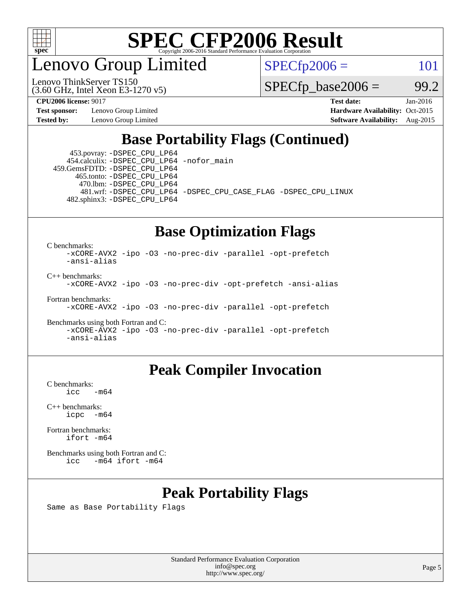

enovo Group Limited

Lenovo ThinkServer TS150

 $SPECfp2006 = 101$  $SPECfp2006 = 101$ 

 $SPECTp\_base2006 = 99.2$ 

**[Test sponsor:](http://www.spec.org/auto/cpu2006/Docs/result-fields.html#Testsponsor)** Lenovo Group Limited **[Hardware Availability:](http://www.spec.org/auto/cpu2006/Docs/result-fields.html#HardwareAvailability)** Oct-2015

(3.60 GHz, Intel Xeon E3-1270 v5)

**[CPU2006 license:](http://www.spec.org/auto/cpu2006/Docs/result-fields.html#CPU2006license)** 9017 **[Test date:](http://www.spec.org/auto/cpu2006/Docs/result-fields.html#Testdate)** Jan-2016 **[Tested by:](http://www.spec.org/auto/cpu2006/Docs/result-fields.html#Testedby)** Lenovo Group Limited **[Software Availability:](http://www.spec.org/auto/cpu2006/Docs/result-fields.html#SoftwareAvailability)** Aug-2015

## **[Base Portability Flags \(Continued\)](http://www.spec.org/auto/cpu2006/Docs/result-fields.html#BasePortabilityFlags)**

 453.povray: [-DSPEC\\_CPU\\_LP64](http://www.spec.org/cpu2006/results/res2016q1/cpu2006-20160125-38876.flags.html#suite_basePORTABILITY453_povray_DSPEC_CPU_LP64) 454.calculix: [-DSPEC\\_CPU\\_LP64](http://www.spec.org/cpu2006/results/res2016q1/cpu2006-20160125-38876.flags.html#suite_basePORTABILITY454_calculix_DSPEC_CPU_LP64) [-nofor\\_main](http://www.spec.org/cpu2006/results/res2016q1/cpu2006-20160125-38876.flags.html#user_baseLDPORTABILITY454_calculix_f-nofor_main) 459.GemsFDTD: [-DSPEC\\_CPU\\_LP64](http://www.spec.org/cpu2006/results/res2016q1/cpu2006-20160125-38876.flags.html#suite_basePORTABILITY459_GemsFDTD_DSPEC_CPU_LP64)

 465.tonto: [-DSPEC\\_CPU\\_LP64](http://www.spec.org/cpu2006/results/res2016q1/cpu2006-20160125-38876.flags.html#suite_basePORTABILITY465_tonto_DSPEC_CPU_LP64) 470.lbm: [-DSPEC\\_CPU\\_LP64](http://www.spec.org/cpu2006/results/res2016q1/cpu2006-20160125-38876.flags.html#suite_basePORTABILITY470_lbm_DSPEC_CPU_LP64) 481.wrf: [-DSPEC\\_CPU\\_LP64](http://www.spec.org/cpu2006/results/res2016q1/cpu2006-20160125-38876.flags.html#suite_basePORTABILITY481_wrf_DSPEC_CPU_LP64) [-DSPEC\\_CPU\\_CASE\\_FLAG](http://www.spec.org/cpu2006/results/res2016q1/cpu2006-20160125-38876.flags.html#b481.wrf_baseCPORTABILITY_DSPEC_CPU_CASE_FLAG) [-DSPEC\\_CPU\\_LINUX](http://www.spec.org/cpu2006/results/res2016q1/cpu2006-20160125-38876.flags.html#b481.wrf_baseCPORTABILITY_DSPEC_CPU_LINUX) 482.sphinx3: [-DSPEC\\_CPU\\_LP64](http://www.spec.org/cpu2006/results/res2016q1/cpu2006-20160125-38876.flags.html#suite_basePORTABILITY482_sphinx3_DSPEC_CPU_LP64)

### **[Base Optimization Flags](http://www.spec.org/auto/cpu2006/Docs/result-fields.html#BaseOptimizationFlags)**

[C benchmarks](http://www.spec.org/auto/cpu2006/Docs/result-fields.html#Cbenchmarks):

[-xCORE-AVX2](http://www.spec.org/cpu2006/results/res2016q1/cpu2006-20160125-38876.flags.html#user_CCbase_f-xAVX2_5f5fc0cbe2c9f62c816d3e45806c70d7) [-ipo](http://www.spec.org/cpu2006/results/res2016q1/cpu2006-20160125-38876.flags.html#user_CCbase_f-ipo) [-O3](http://www.spec.org/cpu2006/results/res2016q1/cpu2006-20160125-38876.flags.html#user_CCbase_f-O3) [-no-prec-div](http://www.spec.org/cpu2006/results/res2016q1/cpu2006-20160125-38876.flags.html#user_CCbase_f-no-prec-div) [-parallel](http://www.spec.org/cpu2006/results/res2016q1/cpu2006-20160125-38876.flags.html#user_CCbase_f-parallel) [-opt-prefetch](http://www.spec.org/cpu2006/results/res2016q1/cpu2006-20160125-38876.flags.html#user_CCbase_f-opt-prefetch) [-ansi-alias](http://www.spec.org/cpu2006/results/res2016q1/cpu2006-20160125-38876.flags.html#user_CCbase_f-ansi-alias)

[C++ benchmarks:](http://www.spec.org/auto/cpu2006/Docs/result-fields.html#CXXbenchmarks)

[-xCORE-AVX2](http://www.spec.org/cpu2006/results/res2016q1/cpu2006-20160125-38876.flags.html#user_CXXbase_f-xAVX2_5f5fc0cbe2c9f62c816d3e45806c70d7) [-ipo](http://www.spec.org/cpu2006/results/res2016q1/cpu2006-20160125-38876.flags.html#user_CXXbase_f-ipo) [-O3](http://www.spec.org/cpu2006/results/res2016q1/cpu2006-20160125-38876.flags.html#user_CXXbase_f-O3) [-no-prec-div](http://www.spec.org/cpu2006/results/res2016q1/cpu2006-20160125-38876.flags.html#user_CXXbase_f-no-prec-div) [-opt-prefetch](http://www.spec.org/cpu2006/results/res2016q1/cpu2006-20160125-38876.flags.html#user_CXXbase_f-opt-prefetch) [-ansi-alias](http://www.spec.org/cpu2006/results/res2016q1/cpu2006-20160125-38876.flags.html#user_CXXbase_f-ansi-alias)

[Fortran benchmarks](http://www.spec.org/auto/cpu2006/Docs/result-fields.html#Fortranbenchmarks):

[-xCORE-AVX2](http://www.spec.org/cpu2006/results/res2016q1/cpu2006-20160125-38876.flags.html#user_FCbase_f-xAVX2_5f5fc0cbe2c9f62c816d3e45806c70d7) [-ipo](http://www.spec.org/cpu2006/results/res2016q1/cpu2006-20160125-38876.flags.html#user_FCbase_f-ipo) [-O3](http://www.spec.org/cpu2006/results/res2016q1/cpu2006-20160125-38876.flags.html#user_FCbase_f-O3) [-no-prec-div](http://www.spec.org/cpu2006/results/res2016q1/cpu2006-20160125-38876.flags.html#user_FCbase_f-no-prec-div) [-parallel](http://www.spec.org/cpu2006/results/res2016q1/cpu2006-20160125-38876.flags.html#user_FCbase_f-parallel) [-opt-prefetch](http://www.spec.org/cpu2006/results/res2016q1/cpu2006-20160125-38876.flags.html#user_FCbase_f-opt-prefetch)

[Benchmarks using both Fortran and C](http://www.spec.org/auto/cpu2006/Docs/result-fields.html#BenchmarksusingbothFortranandC): [-xCORE-AVX2](http://www.spec.org/cpu2006/results/res2016q1/cpu2006-20160125-38876.flags.html#user_CC_FCbase_f-xAVX2_5f5fc0cbe2c9f62c816d3e45806c70d7) [-ipo](http://www.spec.org/cpu2006/results/res2016q1/cpu2006-20160125-38876.flags.html#user_CC_FCbase_f-ipo) [-O3](http://www.spec.org/cpu2006/results/res2016q1/cpu2006-20160125-38876.flags.html#user_CC_FCbase_f-O3) [-no-prec-div](http://www.spec.org/cpu2006/results/res2016q1/cpu2006-20160125-38876.flags.html#user_CC_FCbase_f-no-prec-div) [-parallel](http://www.spec.org/cpu2006/results/res2016q1/cpu2006-20160125-38876.flags.html#user_CC_FCbase_f-parallel) [-opt-prefetch](http://www.spec.org/cpu2006/results/res2016q1/cpu2006-20160125-38876.flags.html#user_CC_FCbase_f-opt-prefetch) [-ansi-alias](http://www.spec.org/cpu2006/results/res2016q1/cpu2006-20160125-38876.flags.html#user_CC_FCbase_f-ansi-alias)

### **[Peak Compiler Invocation](http://www.spec.org/auto/cpu2006/Docs/result-fields.html#PeakCompilerInvocation)**

[C benchmarks](http://www.spec.org/auto/cpu2006/Docs/result-fields.html#Cbenchmarks):  $-m64$ 

[C++ benchmarks:](http://www.spec.org/auto/cpu2006/Docs/result-fields.html#CXXbenchmarks) [icpc -m64](http://www.spec.org/cpu2006/results/res2016q1/cpu2006-20160125-38876.flags.html#user_CXXpeak_intel_icpc_64bit_bedb90c1146cab66620883ef4f41a67e)

[Fortran benchmarks](http://www.spec.org/auto/cpu2006/Docs/result-fields.html#Fortranbenchmarks): [ifort -m64](http://www.spec.org/cpu2006/results/res2016q1/cpu2006-20160125-38876.flags.html#user_FCpeak_intel_ifort_64bit_ee9d0fb25645d0210d97eb0527dcc06e)

[Benchmarks using both Fortran and C](http://www.spec.org/auto/cpu2006/Docs/result-fields.html#BenchmarksusingbothFortranandC): [icc -m64](http://www.spec.org/cpu2006/results/res2016q1/cpu2006-20160125-38876.flags.html#user_CC_FCpeak_intel_icc_64bit_0b7121f5ab7cfabee23d88897260401c) [ifort -m64](http://www.spec.org/cpu2006/results/res2016q1/cpu2006-20160125-38876.flags.html#user_CC_FCpeak_intel_ifort_64bit_ee9d0fb25645d0210d97eb0527dcc06e)

# **[Peak Portability Flags](http://www.spec.org/auto/cpu2006/Docs/result-fields.html#PeakPortabilityFlags)**

Same as Base Portability Flags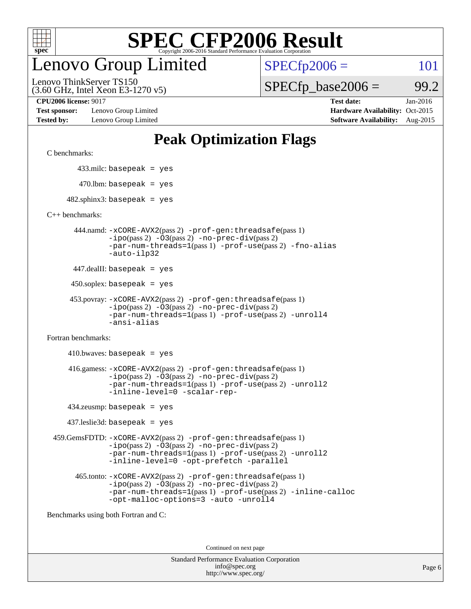

# enovo Group Limited

 $SPECfp2006 = 101$  $SPECfp2006 = 101$ 

(3.60 GHz, Intel Xeon E3-1270 v5) Lenovo ThinkServer TS150

 $SPECTp\_base2006 = 99.2$ 

**[Test sponsor:](http://www.spec.org/auto/cpu2006/Docs/result-fields.html#Testsponsor)** Lenovo Group Limited **[Hardware Availability:](http://www.spec.org/auto/cpu2006/Docs/result-fields.html#HardwareAvailability)** Oct-2015

**[CPU2006 license:](http://www.spec.org/auto/cpu2006/Docs/result-fields.html#CPU2006license)** 9017 **[Test date:](http://www.spec.org/auto/cpu2006/Docs/result-fields.html#Testdate)** Jan-2016 **[Tested by:](http://www.spec.org/auto/cpu2006/Docs/result-fields.html#Testedby)** Lenovo Group Limited **[Software Availability:](http://www.spec.org/auto/cpu2006/Docs/result-fields.html#SoftwareAvailability)** Aug-2015

## **[Peak Optimization Flags](http://www.spec.org/auto/cpu2006/Docs/result-fields.html#PeakOptimizationFlags)**

[C benchmarks](http://www.spec.org/auto/cpu2006/Docs/result-fields.html#Cbenchmarks):

433.milc: basepeak = yes

 $470.$ lbm: basepeak = yes

 $482$ .sphinx3: basepeak = yes

[C++ benchmarks:](http://www.spec.org/auto/cpu2006/Docs/result-fields.html#CXXbenchmarks)

 444.namd: [-xCORE-AVX2](http://www.spec.org/cpu2006/results/res2016q1/cpu2006-20160125-38876.flags.html#user_peakPASS2_CXXFLAGSPASS2_LDFLAGS444_namd_f-xAVX2_5f5fc0cbe2c9f62c816d3e45806c70d7)(pass 2) [-prof-gen:threadsafe](http://www.spec.org/cpu2006/results/res2016q1/cpu2006-20160125-38876.flags.html#user_peakPASS1_CXXFLAGSPASS1_LDFLAGS444_namd_prof_gen_21a26eb79f378b550acd7bec9fe4467a)(pass 1) [-ipo](http://www.spec.org/cpu2006/results/res2016q1/cpu2006-20160125-38876.flags.html#user_peakPASS2_CXXFLAGSPASS2_LDFLAGS444_namd_f-ipo)(pass 2) [-O3](http://www.spec.org/cpu2006/results/res2016q1/cpu2006-20160125-38876.flags.html#user_peakPASS2_CXXFLAGSPASS2_LDFLAGS444_namd_f-O3)(pass 2) [-no-prec-div](http://www.spec.org/cpu2006/results/res2016q1/cpu2006-20160125-38876.flags.html#user_peakPASS2_CXXFLAGSPASS2_LDFLAGS444_namd_f-no-prec-div)(pass 2) [-par-num-threads=1](http://www.spec.org/cpu2006/results/res2016q1/cpu2006-20160125-38876.flags.html#user_peakPASS1_CXXFLAGSPASS1_LDFLAGS444_namd_par_num_threads_786a6ff141b4e9e90432e998842df6c2)(pass 1) [-prof-use](http://www.spec.org/cpu2006/results/res2016q1/cpu2006-20160125-38876.flags.html#user_peakPASS2_CXXFLAGSPASS2_LDFLAGS444_namd_prof_use_bccf7792157ff70d64e32fe3e1250b55)(pass 2) [-fno-alias](http://www.spec.org/cpu2006/results/res2016q1/cpu2006-20160125-38876.flags.html#user_peakCXXOPTIMIZEOPTIMIZE444_namd_f-no-alias_694e77f6c5a51e658e82ccff53a9e63a) [-auto-ilp32](http://www.spec.org/cpu2006/results/res2016q1/cpu2006-20160125-38876.flags.html#user_peakCXXOPTIMIZE444_namd_f-auto-ilp32)

447.dealII: basepeak = yes

 $450$ .soplex: basepeak = yes

```
 453.povray: -xCORE-AVX2(pass 2) -prof-gen:threadsafe(pass 1)
-ipo(pass 2) -O3(pass 2) -no-prec-div(pass 2)
-par-num-threads=1(pass 1) -prof-use(pass 2) -unroll4
-ansi-alias
```
[Fortran benchmarks](http://www.spec.org/auto/cpu2006/Docs/result-fields.html#Fortranbenchmarks):

 $410.bwaves: basepeak = yes$  416.gamess: [-xCORE-AVX2](http://www.spec.org/cpu2006/results/res2016q1/cpu2006-20160125-38876.flags.html#user_peakPASS2_FFLAGSPASS2_LDFLAGS416_gamess_f-xAVX2_5f5fc0cbe2c9f62c816d3e45806c70d7)(pass 2) [-prof-gen:threadsafe](http://www.spec.org/cpu2006/results/res2016q1/cpu2006-20160125-38876.flags.html#user_peakPASS1_FFLAGSPASS1_LDFLAGS416_gamess_prof_gen_21a26eb79f378b550acd7bec9fe4467a)(pass 1)  $-i\text{po}(pass 2) -\text{O3}(pass 2)$  [-no-prec-div](http://www.spec.org/cpu2006/results/res2016q1/cpu2006-20160125-38876.flags.html#user_peakPASS2_FFLAGSPASS2_LDFLAGS416_gamess_f-no-prec-div)(pass 2) [-par-num-threads=1](http://www.spec.org/cpu2006/results/res2016q1/cpu2006-20160125-38876.flags.html#user_peakPASS1_FFLAGSPASS1_LDFLAGS416_gamess_par_num_threads_786a6ff141b4e9e90432e998842df6c2)(pass 1) [-prof-use](http://www.spec.org/cpu2006/results/res2016q1/cpu2006-20160125-38876.flags.html#user_peakPASS2_FFLAGSPASS2_LDFLAGS416_gamess_prof_use_bccf7792157ff70d64e32fe3e1250b55)(pass 2) [-unroll2](http://www.spec.org/cpu2006/results/res2016q1/cpu2006-20160125-38876.flags.html#user_peakOPTIMIZE416_gamess_f-unroll_784dae83bebfb236979b41d2422d7ec2) [-inline-level=0](http://www.spec.org/cpu2006/results/res2016q1/cpu2006-20160125-38876.flags.html#user_peakOPTIMIZE416_gamess_f-inline-level_318d07a09274ad25e8d15dbfaa68ba50) [-scalar-rep-](http://www.spec.org/cpu2006/results/res2016q1/cpu2006-20160125-38876.flags.html#user_peakOPTIMIZE416_gamess_f-disablescalarrep_abbcad04450fb118e4809c81d83c8a1d)

434.zeusmp: basepeak = yes

437.leslie3d: basepeak = yes

 459.GemsFDTD: [-xCORE-AVX2](http://www.spec.org/cpu2006/results/res2016q1/cpu2006-20160125-38876.flags.html#user_peakPASS2_FFLAGSPASS2_LDFLAGS459_GemsFDTD_f-xAVX2_5f5fc0cbe2c9f62c816d3e45806c70d7)(pass 2) [-prof-gen:threadsafe](http://www.spec.org/cpu2006/results/res2016q1/cpu2006-20160125-38876.flags.html#user_peakPASS1_FFLAGSPASS1_LDFLAGS459_GemsFDTD_prof_gen_21a26eb79f378b550acd7bec9fe4467a)(pass 1)  $-i\text{po}(pass 2) -03(pass 2) -no-prec-div(pass 2)$  $-i\text{po}(pass 2) -03(pass 2) -no-prec-div(pass 2)$  $-i\text{po}(pass 2) -03(pass 2) -no-prec-div(pass 2)$ [-par-num-threads=1](http://www.spec.org/cpu2006/results/res2016q1/cpu2006-20160125-38876.flags.html#user_peakPASS1_FFLAGSPASS1_LDFLAGS459_GemsFDTD_par_num_threads_786a6ff141b4e9e90432e998842df6c2)(pass 1) [-prof-use](http://www.spec.org/cpu2006/results/res2016q1/cpu2006-20160125-38876.flags.html#user_peakPASS2_FFLAGSPASS2_LDFLAGS459_GemsFDTD_prof_use_bccf7792157ff70d64e32fe3e1250b55)(pass 2) [-unroll2](http://www.spec.org/cpu2006/results/res2016q1/cpu2006-20160125-38876.flags.html#user_peakOPTIMIZE459_GemsFDTD_f-unroll_784dae83bebfb236979b41d2422d7ec2) [-inline-level=0](http://www.spec.org/cpu2006/results/res2016q1/cpu2006-20160125-38876.flags.html#user_peakOPTIMIZE459_GemsFDTD_f-inline-level_318d07a09274ad25e8d15dbfaa68ba50) [-opt-prefetch](http://www.spec.org/cpu2006/results/res2016q1/cpu2006-20160125-38876.flags.html#user_peakOPTIMIZE459_GemsFDTD_f-opt-prefetch) [-parallel](http://www.spec.org/cpu2006/results/res2016q1/cpu2006-20160125-38876.flags.html#user_peakOPTIMIZE459_GemsFDTD_f-parallel)

 465.tonto: [-xCORE-AVX2](http://www.spec.org/cpu2006/results/res2016q1/cpu2006-20160125-38876.flags.html#user_peakPASS2_FFLAGSPASS2_LDFLAGS465_tonto_f-xAVX2_5f5fc0cbe2c9f62c816d3e45806c70d7)(pass 2) [-prof-gen:threadsafe](http://www.spec.org/cpu2006/results/res2016q1/cpu2006-20160125-38876.flags.html#user_peakPASS1_FFLAGSPASS1_LDFLAGS465_tonto_prof_gen_21a26eb79f378b550acd7bec9fe4467a)(pass 1)  $-i\text{po}(pass 2) -\overline{0}3(pass 2) -no-prec-div(pass 2)$  $-i\text{po}(pass 2) -\overline{0}3(pass 2) -no-prec-div(pass 2)$  $-i\text{po}(pass 2) -\overline{0}3(pass 2) -no-prec-div(pass 2)$ [-par-num-threads=1](http://www.spec.org/cpu2006/results/res2016q1/cpu2006-20160125-38876.flags.html#user_peakPASS1_FFLAGSPASS1_LDFLAGS465_tonto_par_num_threads_786a6ff141b4e9e90432e998842df6c2)(pass 1) [-prof-use](http://www.spec.org/cpu2006/results/res2016q1/cpu2006-20160125-38876.flags.html#user_peakPASS2_FFLAGSPASS2_LDFLAGS465_tonto_prof_use_bccf7792157ff70d64e32fe3e1250b55)(pass 2) [-inline-calloc](http://www.spec.org/cpu2006/results/res2016q1/cpu2006-20160125-38876.flags.html#user_peakOPTIMIZE465_tonto_f-inline-calloc) [-opt-malloc-options=3](http://www.spec.org/cpu2006/results/res2016q1/cpu2006-20160125-38876.flags.html#user_peakOPTIMIZE465_tonto_f-opt-malloc-options_13ab9b803cf986b4ee62f0a5998c2238) [-auto](http://www.spec.org/cpu2006/results/res2016q1/cpu2006-20160125-38876.flags.html#user_peakOPTIMIZE465_tonto_f-auto) [-unroll4](http://www.spec.org/cpu2006/results/res2016q1/cpu2006-20160125-38876.flags.html#user_peakOPTIMIZE465_tonto_f-unroll_4e5e4ed65b7fd20bdcd365bec371b81f)

[Benchmarks using both Fortran and C](http://www.spec.org/auto/cpu2006/Docs/result-fields.html#BenchmarksusingbothFortranandC):

Continued on next page